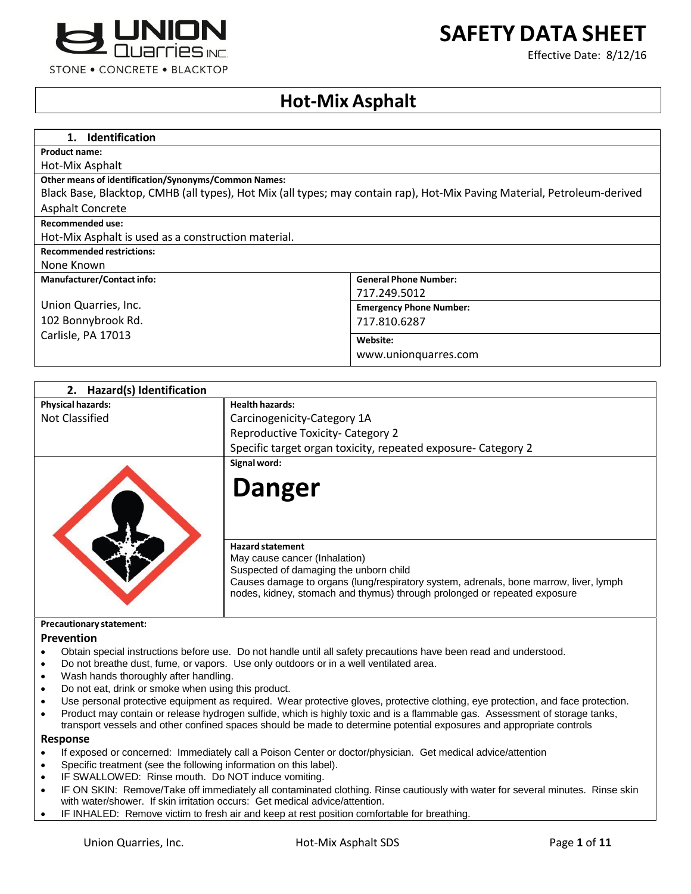

# **SAFETY DATA SHEET**

Effective Date: 8/12/16

# **Hot-Mix Asphalt**

| <b>Identification</b><br>1.                                                                                              |                                |
|--------------------------------------------------------------------------------------------------------------------------|--------------------------------|
| <b>Product name:</b>                                                                                                     |                                |
| Hot-Mix Asphalt                                                                                                          |                                |
| <b>Other means of identification/Synonyms/Common Names:</b>                                                              |                                |
| Black Base, Blacktop, CMHB (all types), Hot Mix (all types; may contain rap), Hot-Mix Paving Material, Petroleum-derived |                                |
| <b>Asphalt Concrete</b>                                                                                                  |                                |
| <b>Recommended use:</b>                                                                                                  |                                |
| Hot-Mix Asphalt is used as a construction material.                                                                      |                                |
| <b>Recommended restrictions:</b>                                                                                         |                                |
| None Known                                                                                                               |                                |
| <b>Manufacturer/Contact info:</b>                                                                                        | <b>General Phone Number:</b>   |
|                                                                                                                          | 717.249.5012                   |
| Union Quarries, Inc.                                                                                                     | <b>Emergency Phone Number:</b> |
| 102 Bonnybrook Rd.                                                                                                       | 717.810.6287                   |
| Carlisle, PA 17013                                                                                                       | Website:                       |
|                                                                                                                          | www.unionguarres.com           |
|                                                                                                                          |                                |

| Hazard(s) Identification        |                                                                                                                                                                    |
|---------------------------------|--------------------------------------------------------------------------------------------------------------------------------------------------------------------|
| <b>Physical hazards:</b>        | <b>Health hazards:</b>                                                                                                                                             |
| <b>Not Classified</b>           | Carcinogenicity-Category 1A                                                                                                                                        |
|                                 | <b>Reproductive Toxicity- Category 2</b>                                                                                                                           |
|                                 | Specific target organ toxicity, repeated exposure- Category 2                                                                                                      |
|                                 | Signal word:                                                                                                                                                       |
|                                 | <b>Danger</b>                                                                                                                                                      |
|                                 | <b>Hazard statement</b><br>May cause cancer (Inhalation)<br>Suspected of damaging the unborn child                                                                 |
|                                 | Causes damage to organs (lung/respiratory system, adrenals, bone marrow, liver, lymph<br>nodes, kidney, stomach and thymus) through prolonged or repeated exposure |
| <b>Precautionary statement:</b> |                                                                                                                                                                    |

#### **Prevention**

- Obtain special instructions before use. Do not handle until all safety precautions have been read and understood.
- Do not breathe dust, fume, or vapors. Use only outdoors or in a well ventilated area.
- Wash hands thoroughly after handling.
- Do not eat, drink or smoke when using this product.
- Use personal protective equipment as required. Wear protective gloves, protective clothing, eye protection, and face protection.
- Product may contain or release hydrogen sulfide, which is highly toxic and is a flammable gas. Assessment of storage tanks, transport vessels and other confined spaces should be made to determine potential exposures and appropriate controls

#### **Response**

- If exposed or concerned: Immediately call a Poison Center or doctor/physician. Get medical advice/attention
- Specific treatment (see the following information on this label).
- IF SWALLOWED: Rinse mouth. Do NOT induce vomiting.
- IF ON SKIN: Remove/Take off immediately all contaminated clothing. Rinse cautiously with water for several minutes. Rinse skin with water/shower. If skin irritation occurs: Get medical advice/attention.
- IF INHALED: Remove victim to fresh air and keep at rest position comfortable for breathing.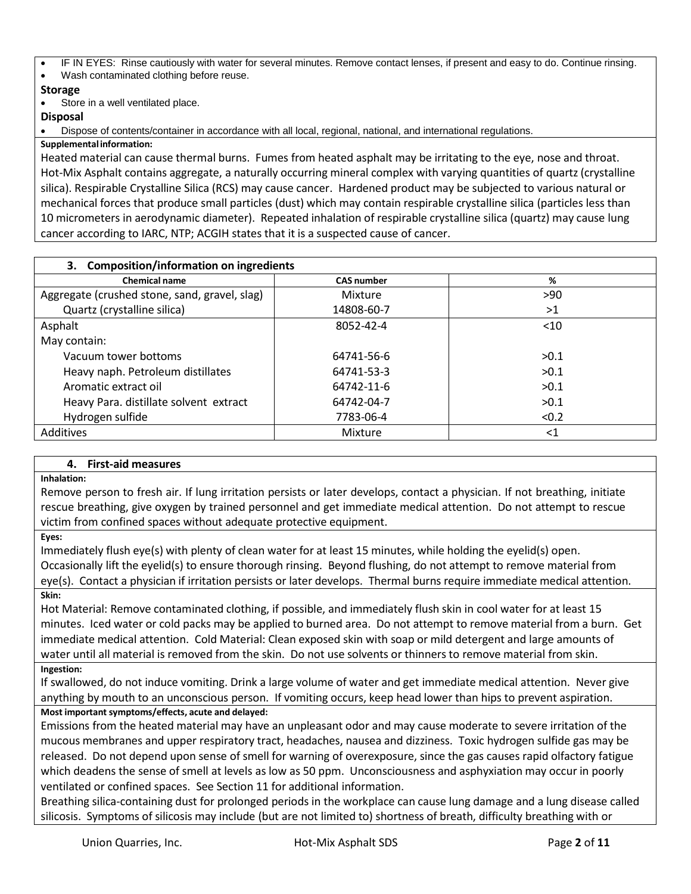IF IN EYES: Rinse cautiously with water for several minutes. Remove contact lenses, if present and easy to do. Continue rinsing. Wash contaminated clothing before reuse.

# **Storage**

Store in a well ventilated place.

## **Disposal**

Dispose of contents/container in accordance with all local, regional, national, and international regulations.

## **Supplementalinformation:**

Heated material can cause thermal burns. Fumes from heated asphalt may be irritating to the eye, nose and throat. Hot-Mix Asphalt contains aggregate, a naturally occurring mineral complex with varying quantities of quartz (crystalline silica). Respirable Crystalline Silica (RCS) may cause cancer. Hardened product may be subjected to various natural or mechanical forces that produce small particles (dust) which may contain respirable crystalline silica (particles less than 10 micrometers in aerodynamic diameter). Repeated inhalation of respirable crystalline silica (quartz) may cause lung cancer according to IARC, NTP; ACGIH states that it is a suspected cause of cancer.

| 3. Composition/information on ingredients     |                   |        |
|-----------------------------------------------|-------------------|--------|
| <b>Chemical name</b>                          | <b>CAS number</b> | %      |
| Aggregate (crushed stone, sand, gravel, slag) | Mixture           | >90    |
| Quartz (crystalline silica)                   | 14808-60-7        | >1     |
| Asphalt                                       | 8052-42-4         | < 10   |
| May contain:                                  |                   |        |
| Vacuum tower bottoms                          | 64741-56-6        | >0.1   |
| Heavy naph. Petroleum distillates             | 64741-53-3        | >0.1   |
| Aromatic extract oil                          | 64742-11-6        | >0.1   |
| Heavy Para. distillate solvent extract        | 64742-04-7        | >0.1   |
| Hydrogen sulfide                              | 7783-06-4         | < 0.2  |
| Additives                                     | Mixture           | ${<}1$ |

# **4. First-aid measures**

## **Inhalation:**

Remove person to fresh air. If lung irritation persists or later develops, contact a physician. If not breathing, initiate rescue breathing, give oxygen by trained personnel and get immediate medical attention. Do not attempt to rescue victim from confined spaces without adequate protective equipment.

**Eyes:**

Immediately flush eye(s) with plenty of clean water for at least 15 minutes, while holding the eyelid(s) open. Occasionally lift the eyelid(s) to ensure thorough rinsing. Beyond flushing, do not attempt to remove material from eye(s). Contact a physician if irritation persists or later develops. Thermal burns require immediate medical attention. **Skin:**

Hot Material: Remove contaminated clothing, if possible, and immediately flush skin in cool water for at least 15 minutes. Iced water or cold packs may be applied to burned area. Do not attempt to remove material from a burn. Get immediate medical attention. Cold Material: Clean exposed skin with soap or mild detergent and large amounts of water until all material is removed from the skin. Do not use solvents or thinners to remove material from skin. **Ingestion:**

If swallowed, do not induce vomiting. Drink a large volume of water and get immediate medical attention. Never give anything by mouth to an unconscious person. If vomiting occurs, keep head lower than hips to prevent aspiration. **Most important symptoms/effects, acute and delayed:**

Emissions from the heated material may have an unpleasant odor and may cause moderate to severe irritation of the mucous membranes and upper respiratory tract, headaches, nausea and dizziness. Toxic hydrogen sulfide gas may be released. Do not depend upon sense of smell for warning of overexposure, since the gas causes rapid olfactory fatigue which deadens the sense of smell at levels as low as 50 ppm. Unconsciousness and asphyxiation may occur in poorly ventilated or confined spaces. See Section 11 for additional information.

Breathing silica-containing dust for prolonged periods in the workplace can cause lung damage and a lung disease called silicosis. Symptoms of silicosis may include (but are not limited to) shortness of breath, difficulty breathing with or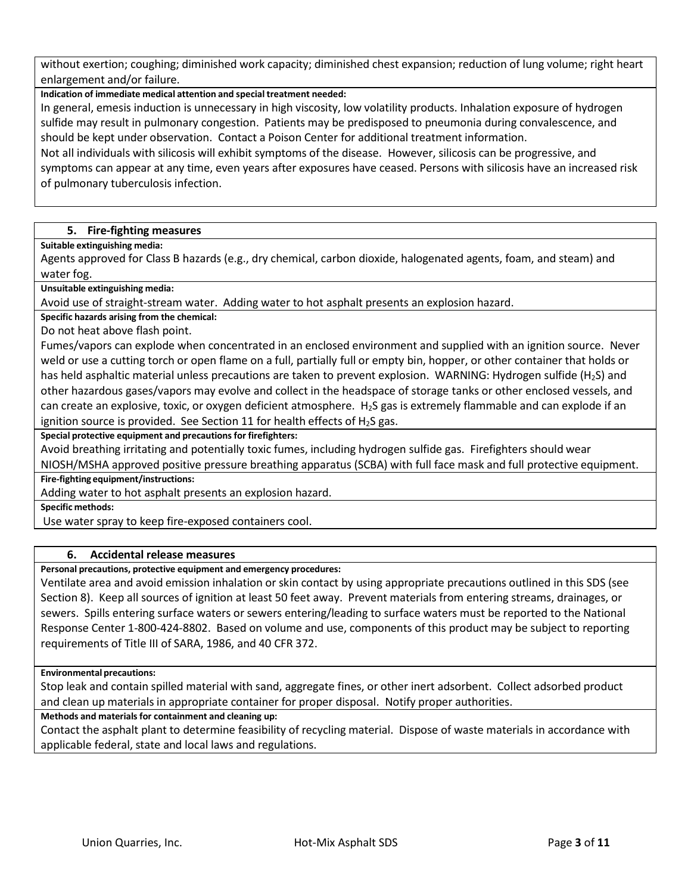without exertion; coughing; diminished work capacity; diminished chest expansion; reduction of lung volume; right heart enlargement and/or failure.

**Indication of immediate medical attention and special treatment needed:**

In general, emesis induction is unnecessary in high viscosity, low volatility products. Inhalation exposure of hydrogen sulfide may result in pulmonary congestion. Patients may be predisposed to pneumonia during convalescence, and should be kept under observation. Contact a Poison Center for additional treatment information.

Not all individuals with silicosis will exhibit symptoms of the disease. However, silicosis can be progressive, and symptoms can appear at any time, even years after exposures have ceased. Persons with silicosis have an increased risk of pulmonary tuberculosis infection.

## **5. Fire-fighting measures**

#### **Suitable extinguishing media:**

Agents approved for Class B hazards (e.g., dry chemical, carbon dioxide, halogenated agents, foam, and steam) and water fog.

**Unsuitable extinguishing media:**

Avoid use of straight-stream water. Adding water to hot asphalt presents an explosion hazard.

**Specific hazards arising from the chemical:**

Do not heat above flash point.

Fumes/vapors can explode when concentrated in an enclosed environment and supplied with an ignition source. Never weld or use a cutting torch or open flame on a full, partially full or empty bin, hopper, or other container that holds or has held asphaltic material unless precautions are taken to prevent explosion. WARNING: Hydrogen sulfide (H<sub>2</sub>S) and other hazardous gases/vapors may evolve and collect in the headspace of storage tanks or other enclosed vessels, and can create an explosive, toxic, or oxygen deficient atmosphere. H2S gas is extremely flammable and can explode if an ignition source is provided. See Section 11 for health effects of  $H_2S$  gas.

**Special protective equipment and precautionsfor firefighters:**

Avoid breathing irritating and potentially toxic fumes, including hydrogen sulfide gas. Firefighters should wear

NIOSH/MSHA approved positive pressure breathing apparatus (SCBA) with full face mask and full protective equipment. **Fire-fighting equipment/instructions:**

Adding water to hot asphalt presents an explosion hazard.

**Specific methods:**

Use water spray to keep fire-exposed containers cool.

## **6. Accidental release measures**

**Personal precautions, protective equipment and emergency procedures:**

Ventilate area and avoid emission inhalation or skin contact by using appropriate precautions outlined in this SDS (see Section 8). Keep all sources of ignition at least 50 feet away. Prevent materials from entering streams, drainages, or sewers. Spills entering surface waters or sewers entering/leading to surface waters must be reported to the National Response Center 1-800-424-8802. Based on volume and use, components of this product may be subject to reporting requirements of Title III of SARA, 1986, and 40 CFR 372.

## **Environmental precautions:**

Stop leak and contain spilled material with sand, aggregate fines, or other inert adsorbent. Collect adsorbed product and clean up materials in appropriate container for proper disposal. Notify proper authorities.

## **Methods and materials for containment and cleaning up:**

Contact the asphalt plant to determine feasibility of recycling material. Dispose of waste materials in accordance with applicable federal, state and local laws and regulations.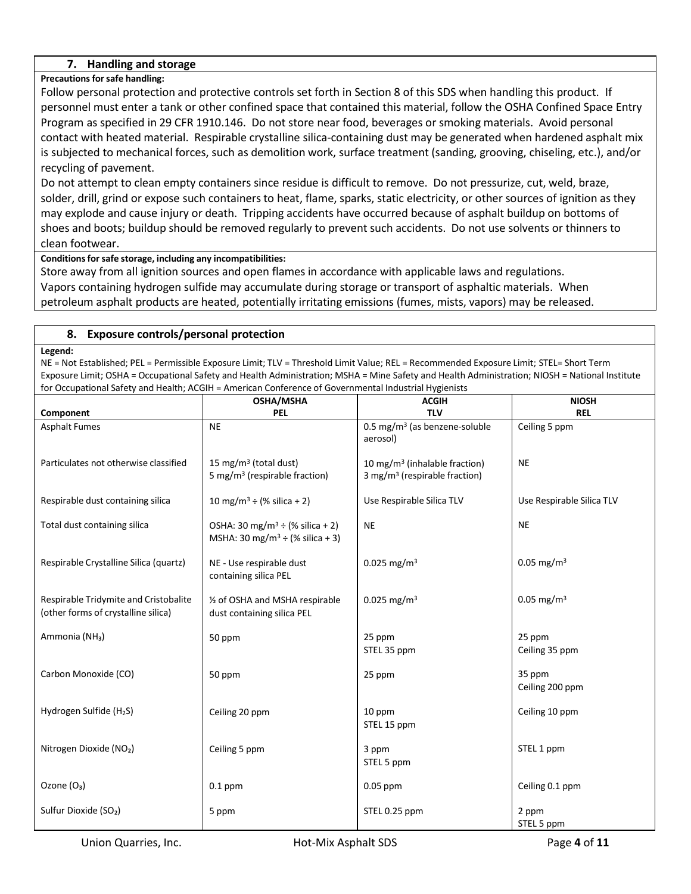## **7. Handling and storage**

## **Precautions forsafe handling:**

Follow personal protection and protective controls set forth in Section 8 of this SDS when handling this product. If personnel must enter a tank or other confined space that contained this material, follow the OSHA Confined Space Entry Program as specified in 29 CFR 1910.146. Do not store near food, beverages or smoking materials. Avoid personal contact with heated material. Respirable crystalline silica-containing dust may be generated when hardened asphalt mix is subjected to mechanical forces, such as demolition work, surface treatment (sanding, grooving, chiseling, etc.), and/or recycling of pavement.

Do not attempt to clean empty containers since residue is difficult to remove. Do not pressurize, cut, weld, braze, solder, drill, grind or expose such containers to heat, flame, sparks, static electricity, or other sources of ignition as they may explode and cause injury or death. Tripping accidents have occurred because of asphalt buildup on bottoms of shoes and boots; buildup should be removed regularly to prevent such accidents. Do not use solvents or thinners to clean footwear.

## **Conditionsforsafe storage, including any incompatibilities:**

Store away from all ignition sources and open flames in accordance with applicable laws and regulations. Vapors containing hydrogen sulfide may accumulate during storage or transport of asphaltic materials. When petroleum asphalt products are heated, potentially irritating emissions (fumes, mists, vapors) may be released.

## **8. Exposure controls/personal protection**

**Legend:**

NE = Not Established; PEL = Permissible Exposure Limit; TLV = Threshold Limit Value; REL = Recommended Exposure Limit; STEL= Short Term Exposure Limit; OSHA = Occupational Safety and Health Administration; MSHA = Mine Safety and Health Administration; NIOSH = National Institute for Occupational Safety and Health; ACGIH = American Conference of Governmental Industrial Hygienists

|                                                                              | <b>OSHA/MSHA</b>                                                                           | <b>ACGIH</b>                                                                           | <b>NIOSH</b>              |
|------------------------------------------------------------------------------|--------------------------------------------------------------------------------------------|----------------------------------------------------------------------------------------|---------------------------|
| Component                                                                    | <b>PEL</b>                                                                                 | <b>TLV</b>                                                                             | <b>REL</b>                |
| <b>Asphalt Fumes</b>                                                         | <b>NE</b>                                                                                  | 0.5 mg/m <sup>3</sup> (as benzene-soluble<br>aerosol)                                  | Ceiling 5 ppm             |
| Particulates not otherwise classified                                        | 15 mg/m <sup>3</sup> (total dust)<br>5 mg/m <sup>3</sup> (respirable fraction)             | 10 mg/m <sup>3</sup> (inhalable fraction)<br>3 mg/m <sup>3</sup> (respirable fraction) | <b>NE</b>                 |
| Respirable dust containing silica                                            | 10 mg/m <sup>3</sup> ÷ (% silica + 2)                                                      | Use Respirable Silica TLV                                                              | Use Respirable Silica TLV |
| Total dust containing silica                                                 | OSHA: 30 mg/m <sup>3</sup> ÷ (% silica + 2)<br>MSHA: 30 mg/m <sup>3</sup> ÷ (% silica + 3) | NE                                                                                     | <b>NE</b>                 |
| Respirable Crystalline Silica (quartz)                                       | NE - Use respirable dust<br>containing silica PEL                                          | $0.025$ mg/m <sup>3</sup>                                                              | $0.05$ mg/m <sup>3</sup>  |
| Respirable Tridymite and Cristobalite<br>(other forms of crystalline silica) | 1/2 of OSHA and MSHA respirable<br>dust containing silica PEL                              | $0.025$ mg/m <sup>3</sup>                                                              | $0.05$ mg/m <sup>3</sup>  |
| Ammonia (NH <sub>3</sub> )                                                   | 50 ppm                                                                                     | 25 ppm<br>STEL 35 ppm                                                                  | 25 ppm<br>Ceiling 35 ppm  |
| Carbon Monoxide (CO)                                                         | 50 ppm                                                                                     | 25 ppm                                                                                 | 35 ppm<br>Ceiling 200 ppm |
| Hydrogen Sulfide (H <sub>2</sub> S)                                          | Ceiling 20 ppm                                                                             | 10 ppm<br>STEL 15 ppm                                                                  | Ceiling 10 ppm            |
| Nitrogen Dioxide (NO2)                                                       | Ceiling 5 ppm                                                                              | 3 ppm<br>STEL 5 ppm                                                                    | STEL 1 ppm                |
| Ozone (O <sub>3</sub> )                                                      | $0.1$ ppm                                                                                  | $0.05$ ppm                                                                             | Ceiling 0.1 ppm           |
| Sulfur Dioxide (SO <sub>2</sub> )                                            | 5 ppm                                                                                      | STEL 0.25 ppm                                                                          | 2 ppm<br>STEL 5 ppm       |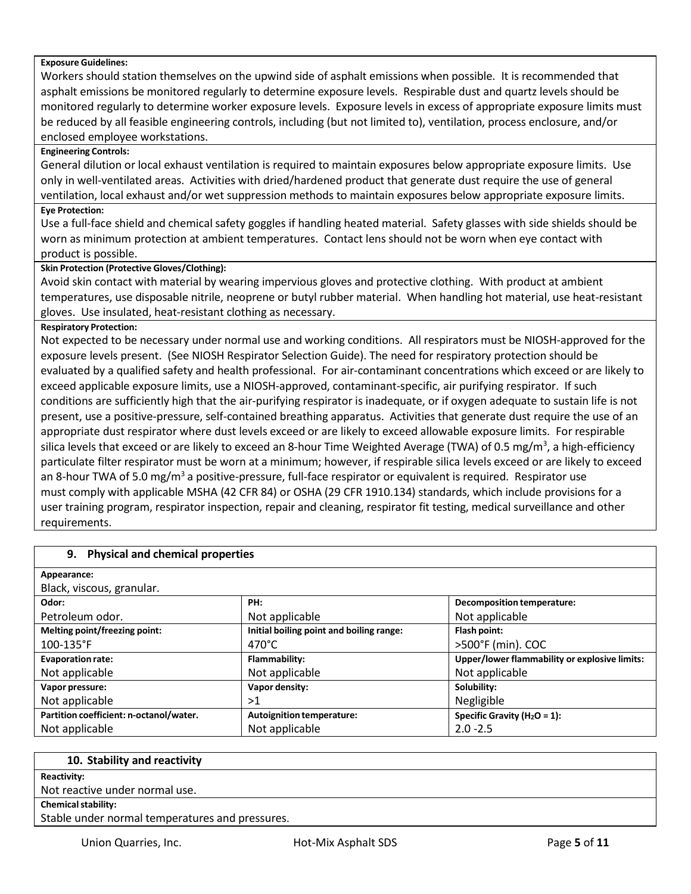#### **Exposure Guidelines:**

Workers should station themselves on the upwind side of asphalt emissions when possible. It is recommended that asphalt emissions be monitored regularly to determine exposure levels. Respirable dust and quartz levels should be monitored regularly to determine worker exposure levels. Exposure levels in excess of appropriate exposure limits must be reduced by all feasible engineering controls, including (but not limited to), ventilation, process enclosure, and/or enclosed employee workstations.

#### **Engineering Controls:**

General dilution or local exhaust ventilation is required to maintain exposures below appropriate exposure limits. Use only in well-ventilated areas. Activities with dried/hardened product that generate dust require the use of general ventilation, local exhaust and/or wet suppression methods to maintain exposures below appropriate exposure limits. **Eye Protection:**

Use a full-face shield and chemical safety goggles if handling heated material. Safety glasses with side shields should be worn as minimum protection at ambient temperatures. Contact lens should not be worn when eye contact with product is possible.

#### **Skin Protection (Protective Gloves/Clothing):**

Avoid skin contact with material by wearing impervious gloves and protective clothing. With product at ambient temperatures, use disposable nitrile, neoprene or butyl rubber material. When handling hot material, use heat-resistant gloves. Use insulated, heat-resistant clothing as necessary.

#### **Respiratory Protection:**

Not expected to be necessary under normal use and working conditions. All respirators must be NIOSH-approved for the exposure levels present. (See NIOSH Respirator Selection Guide). The need for respiratory protection should be evaluated by a qualified safety and health professional. For air-contaminant concentrations which exceed or are likely to exceed applicable exposure limits, use a NIOSH-approved, contaminant-specific, air purifying respirator. If such conditions are sufficiently high that the air-purifying respirator is inadequate, or if oxygen adequate to sustain life is not present, use a positive-pressure, self-contained breathing apparatus. Activities that generate dust require the use of an appropriate dust respirator where dust levels exceed or are likely to exceed allowable exposure limits. For respirable silica levels that exceed or are likely to exceed an 8-hour Time Weighted Average (TWA) of 0.5 mg/m<sup>3</sup>, a high-efficiency particulate filter respirator must be worn at a minimum; however, if respirable silica levels exceed or are likely to exceed an 8-hour TWA of 5.0 mg/m<sup>3</sup> a positive-pressure, full-face respirator or equivalent is required. Respirator use must comply with applicable MSHA (42 CFR 84) or OSHA (29 CFR 1910.134) standards, which include provisions for a user training program, respirator inspection, repair and cleaning, respirator fit testing, medical surveillance and other requirements.

| 9. Physical and chemical properties     |                                          |                                               |
|-----------------------------------------|------------------------------------------|-----------------------------------------------|
| Appearance:                             |                                          |                                               |
| Black, viscous, granular.               |                                          |                                               |
| Odor:                                   | PH:                                      | Decomposition temperature:                    |
| Petroleum odor.                         | Not applicable                           | Not applicable                                |
| Melting point/freezing point:           | Initial boiling point and boiling range: | Flash point:                                  |
| $100 - 135$ °F                          | $470^{\circ}$ C                          | >500°F (min). COC                             |
| <b>Evaporation rate:</b>                | Flammability:                            | Upper/lower flammability or explosive limits: |
| Not applicable                          | Not applicable                           | Not applicable                                |
| Vapor pressure:                         | Vapor density:                           | Solubility:                                   |
| Not applicable                          | >1                                       | Negligible                                    |
| Partition coefficient: n-octanol/water. | <b>Autoignition temperature:</b>         | Specific Gravity ( $H_2O = 1$ ):              |
| Not applicable                          | Not applicable                           | $2.0 - 2.5$                                   |

| 10. Stability and reactivity                    |  |
|-------------------------------------------------|--|
| Reactivity:                                     |  |
| Not reactive under normal use.                  |  |
| <b>Chemical stability:</b>                      |  |
| Stable under normal temperatures and pressures. |  |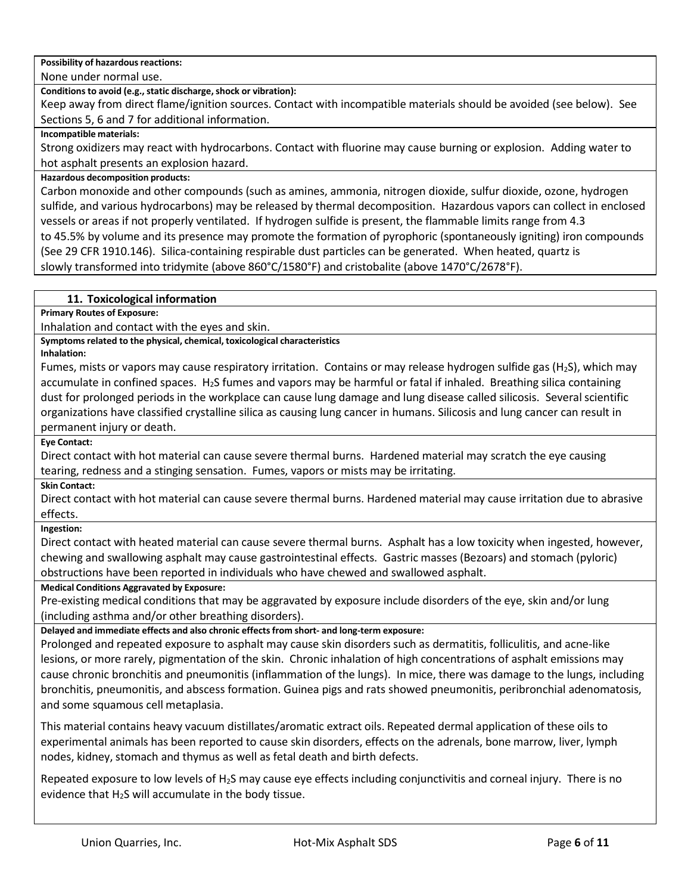**Possibility of hazardous reactions:** 

None under normal use.

**Conditions to avoid (e.g., static discharge, shock or vibration):** 

Keep away from direct flame/ignition sources. Contact with incompatible materials should be avoided (see below). See Sections 5, 6 and 7 for additional information.

## **Incompatible materials:**

Strong oxidizers may react with hydrocarbons. Contact with fluorine may cause burning or explosion. Adding water to hot asphalt presents an explosion hazard.

## **Hazardous decomposition products:**

Carbon monoxide and other compounds (such as amines, ammonia, nitrogen dioxide, sulfur dioxide, ozone, hydrogen sulfide, and various hydrocarbons) may be released by thermal decomposition. Hazardous vapors can collect in enclosed vessels or areas if not properly ventilated. If hydrogen sulfide is present, the flammable limits range from 4.3 to 45.5% by volume and its presence may promote the formation of pyrophoric (spontaneously igniting) iron compounds (See 29 CFR 1910.146). Silica-containing respirable dust particles can be generated. When heated, quartz is slowly transformed into tridymite (above 860°C/1580°F) and cristobalite (above 1470°C/2678°F).

## **11. Toxicological information**

**Primary Routes of Exposure:**

Inhalation and contact with the eyes and skin.

**Symptoms related to the physical, chemical, toxicological characteristics Inhalation:**

Fumes, mists or vapors may cause respiratory irritation. Contains or may release hydrogen sulfide gas (H2S), which may accumulate in confined spaces.  $H_2S$  fumes and vapors may be harmful or fatal if inhaled. Breathing silica containing dust for prolonged periods in the workplace can cause lung damage and lung disease called silicosis. Several scientific organizations have classified crystalline silica as causing lung cancer in humans. Silicosis and lung cancer can result in permanent injury or death.

**Eye Contact:**

Direct contact with hot material can cause severe thermal burns. Hardened material may scratch the eye causing tearing, redness and a stinging sensation. Fumes, vapors or mists may be irritating.

**Skin Contact:**

Direct contact with hot material can cause severe thermal burns. Hardened material may cause irritation due to abrasive effects.

## **Ingestion:**

Direct contact with heated material can cause severe thermal burns. Asphalt has a low toxicity when ingested, however, chewing and swallowing asphalt may cause gastrointestinal effects. Gastric masses (Bezoars) and stomach (pyloric) obstructions have been reported in individuals who have chewed and swallowed asphalt.

## **Medical Conditions Aggravated by Exposure:**

Pre-existing medical conditions that may be aggravated by exposure include disorders of the eye, skin and/or lung (including asthma and/or other breathing disorders).

**Delayed and immediate effects and also chronic effectsfrom short- and long-term exposure:**

Prolonged and repeated exposure to asphalt may cause skin disorders such as dermatitis, folliculitis, and acne-like lesions, or more rarely, pigmentation of the skin. Chronic inhalation of high concentrations of asphalt emissions may cause chronic bronchitis and pneumonitis (inflammation of the lungs). In mice, there was damage to the lungs, including bronchitis, pneumonitis, and abscess formation. Guinea pigs and rats showed pneumonitis, peribronchial adenomatosis, and some squamous cell metaplasia.

This material contains heavy vacuum distillates/aromatic extract oils. Repeated dermal application of these oils to experimental animals has been reported to cause skin disorders, effects on the adrenals, bone marrow, liver, lymph nodes, kidney, stomach and thymus as well as fetal death and birth defects.

Repeated exposure to low levels of H2S may cause eye effects including conjunctivitis and corneal injury. There is no evidence that H<sub>2</sub>S will accumulate in the body tissue.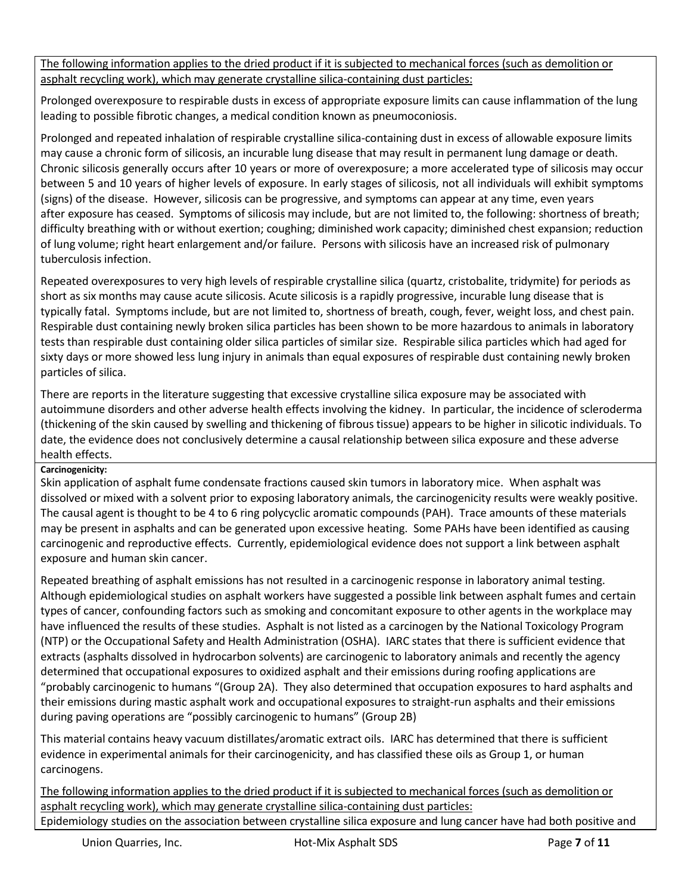The following information applies to the dried product if it is subjected to mechanical forces (such as demolition or asphalt recycling work), which may generate crystalline silica-containing dust particles:

Prolonged overexposure to respirable dusts in excess of appropriate exposure limits can cause inflammation of the lung leading to possible fibrotic changes, a medical condition known as pneumoconiosis.

Prolonged and repeated inhalation of respirable crystalline silica-containing dust in excess of allowable exposure limits may cause a chronic form of silicosis, an incurable lung disease that may result in permanent lung damage or death. Chronic silicosis generally occurs after 10 years or more of overexposure; a more accelerated type of silicosis may occur between 5 and 10 years of higher levels of exposure. In early stages of silicosis, not all individuals will exhibit symptoms (signs) of the disease. However, silicosis can be progressive, and symptoms can appear at any time, even years after exposure has ceased. Symptoms of silicosis may include, but are not limited to, the following: shortness of breath; difficulty breathing with or without exertion; coughing; diminished work capacity; diminished chest expansion; reduction of lung volume; right heart enlargement and/or failure. Persons with silicosis have an increased risk of pulmonary tuberculosis infection.

Repeated overexposures to very high levels of respirable crystalline silica (quartz, cristobalite, tridymite) for periods as short as six months may cause acute silicosis. Acute silicosis is a rapidly progressive, incurable lung disease that is typically fatal. Symptoms include, but are not limited to, shortness of breath, cough, fever, weight loss, and chest pain. Respirable dust containing newly broken silica particles has been shown to be more hazardous to animals in laboratory tests than respirable dust containing older silica particles of similar size. Respirable silica particles which had aged for sixty days or more showed less lung injury in animals than equal exposures of respirable dust containing newly broken particles of silica.

There are reports in the literature suggesting that excessive crystalline silica exposure may be associated with autoimmune disorders and other adverse health effects involving the kidney. In particular, the incidence of scleroderma (thickening of the skin caused by swelling and thickening of fibrous tissue) appears to be higher in silicotic individuals. To date, the evidence does not conclusively determine a causal relationship between silica exposure and these adverse health effects.

## **Carcinogenicity:**

Skin application of asphalt fume condensate fractions caused skin tumors in laboratory mice. When asphalt was dissolved or mixed with a solvent prior to exposing laboratory animals, the carcinogenicity results were weakly positive. The causal agent is thought to be 4 to 6 ring polycyclic aromatic compounds (PAH). Trace amounts of these materials may be present in asphalts and can be generated upon excessive heating. Some PAHs have been identified as causing carcinogenic and reproductive effects. Currently, epidemiological evidence does not support a link between asphalt exposure and human skin cancer.

Repeated breathing of asphalt emissions has not resulted in a carcinogenic response in laboratory animal testing. Although epidemiological studies on asphalt workers have suggested a possible link between asphalt fumes and certain types of cancer, confounding factors such as smoking and concomitant exposure to other agents in the workplace may have influenced the results of these studies. Asphalt is not listed as a carcinogen by the National Toxicology Program (NTP) or the Occupational Safety and Health Administration (OSHA). IARC states that there is sufficient evidence that extracts (asphalts dissolved in hydrocarbon solvents) are carcinogenic to laboratory animals and recently the agency determined that occupational exposures to oxidized asphalt and their emissions during roofing applications are "probably carcinogenic to humans "(Group 2A). They also determined that occupation exposures to hard asphalts and their emissions during mastic asphalt work and occupational exposures to straight-run asphalts and their emissions during paving operations are "possibly carcinogenic to humans" (Group 2B)

This material contains heavy vacuum distillates/aromatic extract oils. IARC has determined that there is sufficient evidence in experimental animals for their carcinogenicity, and has classified these oils as Group 1, or human carcinogens.

The following information applies to the dried product if it is subjected to mechanical forces (such as demolition or asphalt recycling work), which may generate crystalline silica-containing dust particles: Epidemiology studies on the association between crystalline silica exposure and lung cancer have had both positive and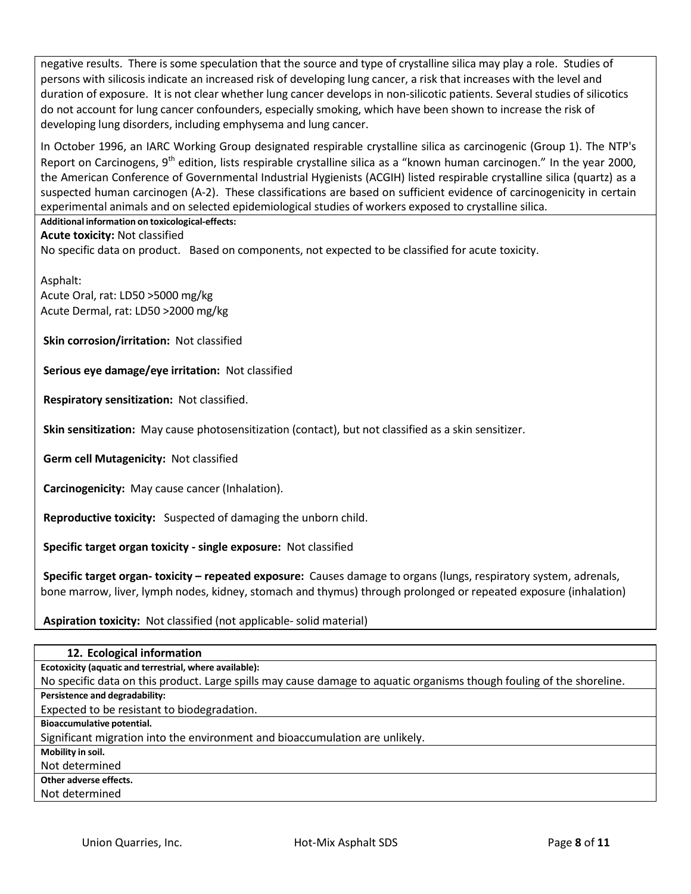negative results. There is some speculation that the source and type of crystalline silica may play a role. Studies of persons with silicosis indicate an increased risk of developing lung cancer, a risk that increases with the level and duration of exposure. It is not clear whether lung cancer develops in non-silicotic patients. Several studies of silicotics do not account for lung cancer confounders, especially smoking, which have been shown to increase the risk of developing lung disorders, including emphysema and lung cancer.

In October 1996, an IARC Working Group designated respirable crystalline silica as carcinogenic (Group 1). The NTP's Report on Carcinogens, 9<sup>th</sup> edition, lists respirable crystalline silica as a "known human carcinogen." In the year 2000, the American Conference of Governmental Industrial Hygienists (ACGIH) listed respirable crystalline silica (quartz) as a suspected human carcinogen (A-2). These classifications are based on sufficient evidence of carcinogenicity in certain experimental animals and on selected epidemiological studies of workers exposed to crystalline silica.

## **Additional information on toxicological-effects:**

**Acute toxicity:** Not classified

No specific data on product. Based on components, not expected to be classified for acute toxicity.

Asphalt:

Acute Oral, rat: LD50 >5000 mg/kg Acute Dermal, rat: LD50 >2000 mg/kg

**Skin corrosion/irritation:** Not classified

**Serious eye damage/eye irritation:** Not classified

**Respiratory sensitization:** Not classified.

**Skin sensitization:** May cause photosensitization (contact), but not classified as a skin sensitizer.

**Germ cell Mutagenicity:** Not classified

**Carcinogenicity:** May cause cancer (Inhalation).

**Reproductive toxicity:** Suspected of damaging the unborn child.

**Specific target organ toxicity - single exposure:** Not classified

**Specific target organ- toxicity – repeated exposure:** Causes damage to organs (lungs, respiratory system, adrenals, bone marrow, liver, lymph nodes, kidney, stomach and thymus) through prolonged or repeated exposure (inhalation)

**Aspiration toxicity:** Not classified (not applicable- solid material)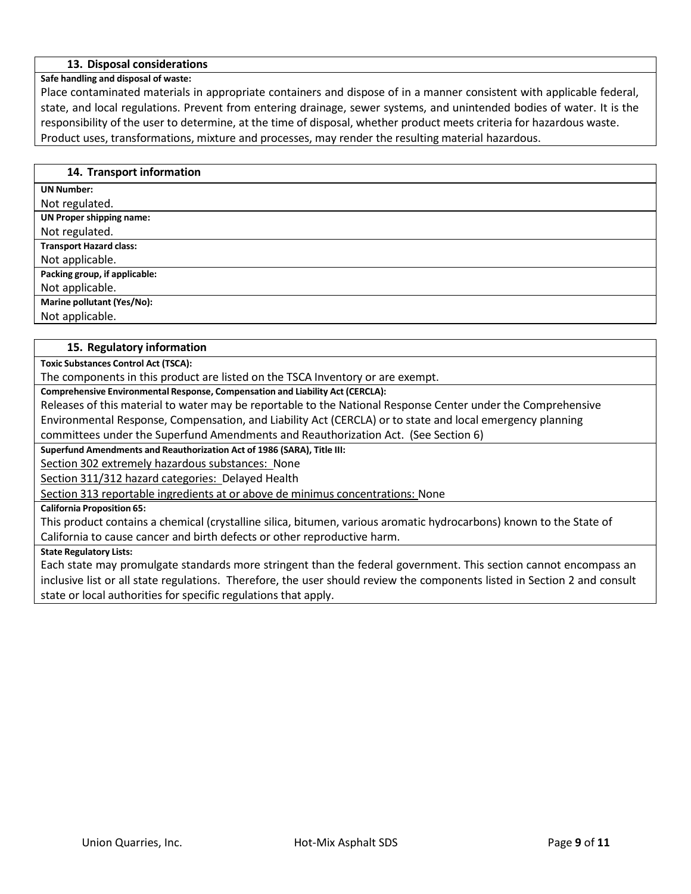## **13. Disposal considerations**

#### **Safe handling and disposal of waste:**

Place contaminated materials in appropriate containers and dispose of in a manner consistent with applicable federal, state, and local regulations. Prevent from entering drainage, sewer systems, and unintended bodies of water. It is the responsibility of the user to determine, at the time of disposal, whether product meets criteria for hazardous waste. Product uses, transformations, mixture and processes, may render the resulting material hazardous.

#### **14. Transport information**

**UN Number:**

Not regulated. **UN Proper shipping name:**

Not regulated.

**Transport Hazard class:**

Not applicable.

**Packing group, if applicable:**

Not applicable.

**Marine pollutant (Yes/No):**

Not applicable.

## **15. Regulatory information**

**Toxic Substances Control Act (TSCA):**

The components in this product are listed on the TSCA Inventory or are exempt.

**Comprehensive Environmental Response, Compensation and Liability Act (CERCLA):**

Releases of this material to water may be reportable to the National Response Center under the Comprehensive

Environmental Response, Compensation, and Liability Act (CERCLA) or to state and local emergency planning

committees under the Superfund Amendments and Reauthorization Act. (See Section 6)

**Superfund Amendments and Reauthorization Act of 1986 (SARA), Title III:**

Section 302 extremely hazardous substances: None

Section 311/312 hazard categories: Delayed Health

Section 313 reportable ingredients at or above de minimus concentrations: None

## **California Proposition 65:**

This product contains a chemical (crystalline silica, bitumen, various aromatic hydrocarbons) known to the State of California to cause cancer and birth defects or other reproductive harm.

## **State Regulatory Lists:**

Each state may promulgate standards more stringent than the federal government. This section cannot encompass an inclusive list or all state regulations. Therefore, the user should review the components listed in Section 2 and consult state or local authorities for specific regulations that apply.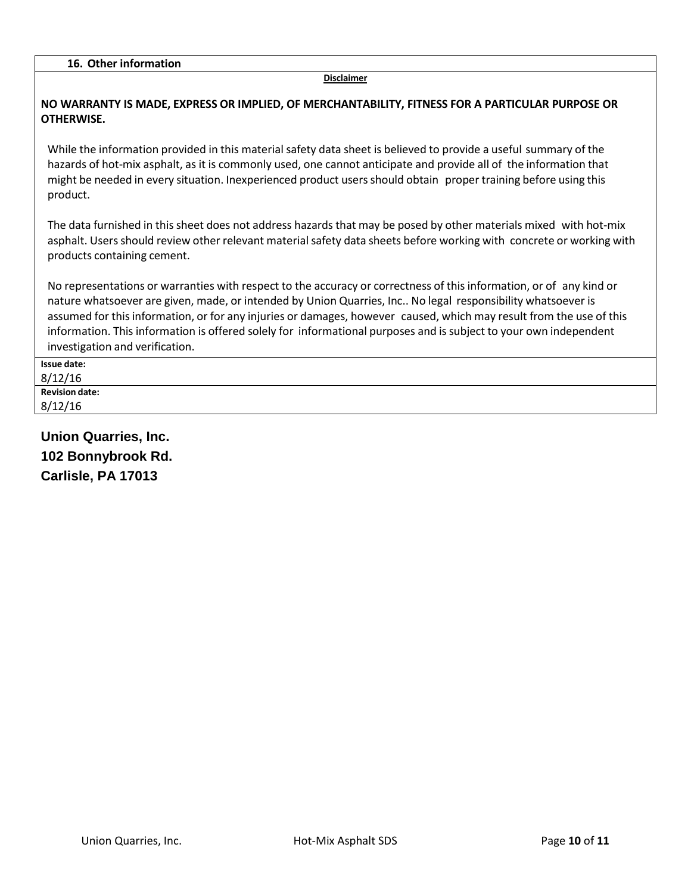#### **Disclaimer**

## **NO WARRANTY IS MADE, EXPRESS OR IMPLIED, OF MERCHANTABILITY, FITNESS FOR A PARTICULAR PURPOSE OR OTHERWISE.**

While the information provided in this material safety data sheet is believed to provide a useful summary of the hazards of hot-mix asphalt, as it is commonly used, one cannot anticipate and provide all of the information that might be needed in every situation. Inexperienced product usersshould obtain proper training before using this product.

The data furnished in this sheet does not address hazards that may be posed by other materials mixed with hot-mix asphalt. Users should review other relevant material safety data sheets before working with concrete or working with products containing cement.

No representations or warranties with respect to the accuracy or correctness of this information, or of any kind or nature whatsoever are given, made, or intended by Union Quarries, Inc.. No legal responsibility whatsoever is assumed for this information, or for any injuries or damages, however caused, which may result from the use of this information. This information is offered solely for informational purposes and issubject to your own independent investigation and verification.

| <b>Issue date:</b>    |  |
|-----------------------|--|
| 8/12/16               |  |
| <b>Revision date:</b> |  |
| 8/12/16               |  |

**Union Quarries, Inc. 102 Bonnybrook Rd. Carlisle, PA 17013**